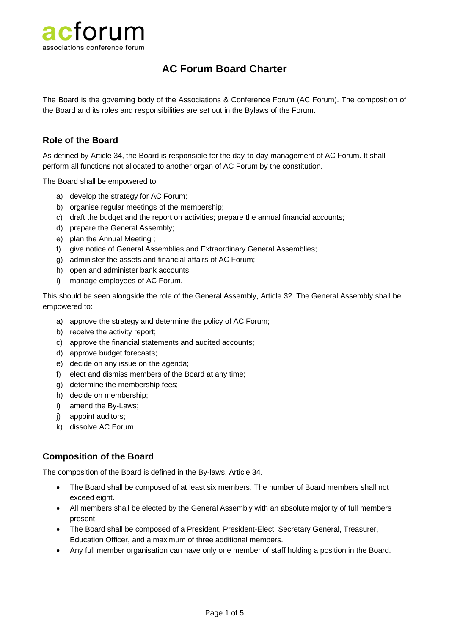

# **AC Forum Board Charter**

The Board is the governing body of the Associations & Conference Forum (AC Forum). The composition of the Board and its roles and responsibilities are set out in the Bylaws of the Forum.

# **Role of the Board**

As defined by Article 34, the Board is responsible for the day-to-day management of AC Forum. It shall perform all functions not allocated to another organ of AC Forum by the constitution.

The Board shall be empowered to:

- a) develop the strategy for AC Forum;
- b) organise regular meetings of the membership;
- c) draft the budget and the report on activities; prepare the annual financial accounts;
- d) prepare the General Assembly;
- e) plan the Annual Meeting ;
- f) give notice of General Assemblies and Extraordinary General Assemblies;
- g) administer the assets and financial affairs of AC Forum;
- h) open and administer bank accounts;
- i) manage employees of AC Forum.

This should be seen alongside the role of the General Assembly, Article 32. The General Assembly shall be empowered to:

- a) approve the strategy and determine the policy of AC Forum;
- b) receive the activity report;
- c) approve the financial statements and audited accounts;
- d) approve budget forecasts;
- e) decide on any issue on the agenda;
- f) elect and dismiss members of the Board at any time;
- g) determine the membership fees;
- h) decide on membership;
- i) amend the By-Laws;
- j) appoint auditors;
- k) dissolve AC Forum.

#### **Composition of the Board**

The composition of the Board is defined in the By-laws, Article 34.

- The Board shall be composed of at least six members. The number of Board members shall not exceed eight.
- All members shall be elected by the General Assembly with an absolute majority of full members present.
- The Board shall be composed of a President, President-Elect, Secretary General, Treasurer, Education Officer, and a maximum of three additional members.
- Any full member organisation can have only one member of staff holding a position in the Board.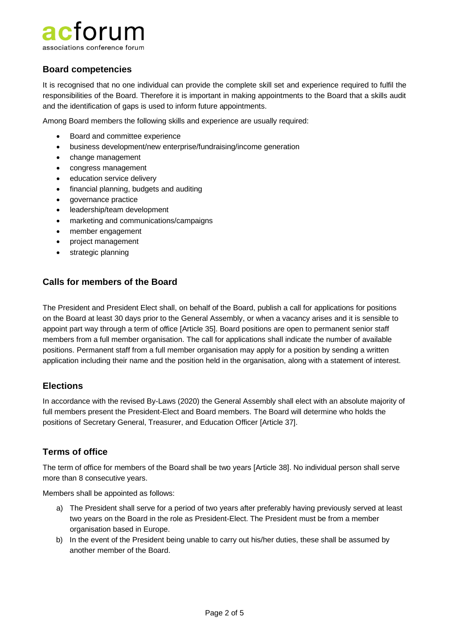# cforum associations conference forum

**Board competencies**

It is recognised that no one individual can provide the complete skill set and experience required to fulfil the responsibilities of the Board. Therefore it is important in making appointments to the Board that a skills audit and the identification of gaps is used to inform future appointments.

Among Board members the following skills and experience are usually required:

- Board and committee experience
- business development/new enterprise/fundraising/income generation
- change management
- congress management
- education service delivery
- financial planning, budgets and auditing
- governance practice
- leadership/team development
- marketing and communications/campaigns
- member engagement
- project management
- strategic planning

# **Calls for members of the Board**

The President and President Elect shall, on behalf of the Board, publish a call for applications for positions on the Board at least 30 days prior to the General Assembly, or when a vacancy arises and it is sensible to appoint part way through a term of office [Article 35]. Board positions are open to permanent senior staff members from a full member organisation. The call for applications shall indicate the number of available positions. Permanent staff from a full member organisation may apply for a position by sending a written application including their name and the position held in the organisation, along with a statement of interest.

# **Elections**

In accordance with the revised By-Laws (2020) the General Assembly shall elect with an absolute majority of full members present the President-Elect and Board members. The Board will determine who holds the positions of Secretary General, Treasurer, and Education Officer [Article 37].

# **Terms of office**

The term of office for members of the Board shall be two years [Article 38]. No individual person shall serve more than 8 consecutive years.

Members shall be appointed as follows:

- a) The President shall serve for a period of two years after preferably having previously served at least two years on the Board in the role as President-Elect. The President must be from a member organisation based in Europe.
- b) In the event of the President being unable to carry out his/her duties, these shall be assumed by another member of the Board.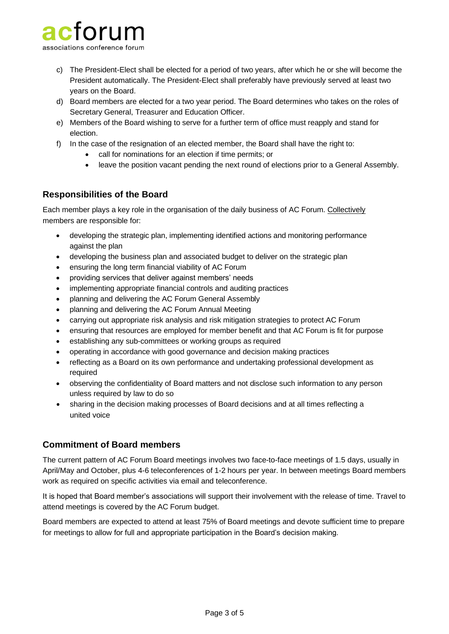

- c) The President-Elect shall be elected for a period of two years, after which he or she will become the President automatically. The President-Elect shall preferably have previously served at least two years on the Board.
- d) Board members are elected for a two year period. The Board determines who takes on the roles of Secretary General, Treasurer and Education Officer.
- e) Members of the Board wishing to serve for a further term of office must reapply and stand for election.
- f) In the case of the resignation of an elected member, the Board shall have the right to:
	- call for nominations for an election if time permits; or
	- leave the position vacant pending the next round of elections prior to a General Assembly.

# **Responsibilities of the Board**

Each member plays a key role in the organisation of the daily business of AC Forum. Collectively members are responsible for:

- developing the strategic plan, implementing identified actions and monitoring performance against the plan
- developing the business plan and associated budget to deliver on the strategic plan
- ensuring the long term financial viability of AC Forum
- providing services that deliver against members' needs
- implementing appropriate financial controls and auditing practices
- planning and delivering the AC Forum General Assembly
- planning and delivering the AC Forum Annual Meeting
- carrying out appropriate risk analysis and risk mitigation strategies to protect AC Forum
- ensuring that resources are employed for member benefit and that AC Forum is fit for purpose
- establishing any sub-committees or working groups as required
- operating in accordance with good governance and decision making practices
- reflecting as a Board on its own performance and undertaking professional development as required
- observing the confidentiality of Board matters and not disclose such information to any person unless required by law to do so
- sharing in the decision making processes of Board decisions and at all times reflecting a united voice

#### **Commitment of Board members**

The current pattern of AC Forum Board meetings involves two face-to-face meetings of 1.5 days, usually in April/May and October, plus 4-6 teleconferences of 1-2 hours per year. In between meetings Board members work as required on specific activities via email and teleconference.

It is hoped that Board member's associations will support their involvement with the release of time. Travel to attend meetings is covered by the AC Forum budget.

Board members are expected to attend at least 75% of Board meetings and devote sufficient time to prepare for meetings to allow for full and appropriate participation in the Board's decision making.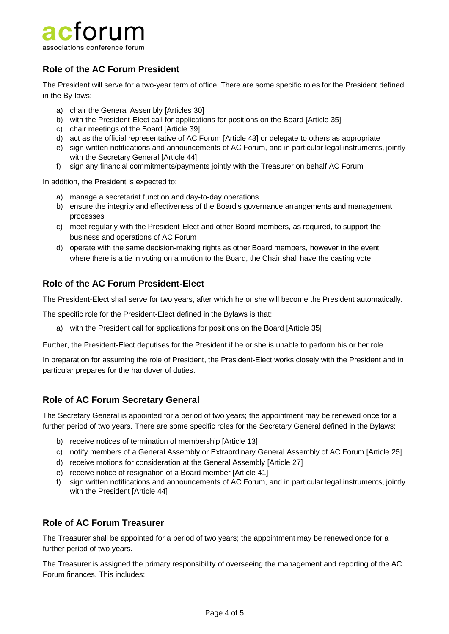

# **Role of the AC Forum President**

The President will serve for a two-year term of office. There are some specific roles for the President defined in the By-laws:

- a) chair the General Assembly [Articles 30]
- b) with the President-Elect call for applications for positions on the Board [Article 35]
- c) chair meetings of the Board [Article 39]
- d) act as the official representative of AC Forum [Article 43] or delegate to others as appropriate
- e) sign written notifications and announcements of AC Forum, and in particular legal instruments, jointly with the Secretary General [Article 44]
- f) sign any financial commitments/payments jointly with the Treasurer on behalf AC Forum

In addition, the President is expected to:

- a) manage a secretariat function and day-to-day operations
- b) ensure the integrity and effectiveness of the Board's governance arrangements and management processes
- c) meet regularly with the President-Elect and other Board members, as required, to support the business and operations of AC Forum
- d) operate with the same decision-making rights as other Board members, however in the event where there is a tie in voting on a motion to the Board, the Chair shall have the casting vote

# **Role of the AC Forum President-Elect**

The President-Elect shall serve for two years, after which he or she will become the President automatically.

The specific role for the President-Elect defined in the Bylaws is that:

a) with the President call for applications for positions on the Board [Article 35]

Further, the President-Elect deputises for the President if he or she is unable to perform his or her role.

In preparation for assuming the role of President, the President-Elect works closely with the President and in particular prepares for the handover of duties.

# **Role of AC Forum Secretary General**

The Secretary General is appointed for a period of two years; the appointment may be renewed once for a further period of two years. There are some specific roles for the Secretary General defined in the Bylaws:

- b) receive notices of termination of membership [Article 13]
- c) notify members of a General Assembly or Extraordinary General Assembly of AC Forum [Article 25]
- d) receive motions for consideration at the General Assembly [Article 27]
- e) receive notice of resignation of a Board member [Article 41]
- f) sign written notifications and announcements of AC Forum, and in particular legal instruments, jointly with the President [Article 44]

# **Role of AC Forum Treasurer**

The Treasurer shall be appointed for a period of two years; the appointment may be renewed once for a further period of two years.

The Treasurer is assigned the primary responsibility of overseeing the management and reporting of the AC Forum finances. This includes: